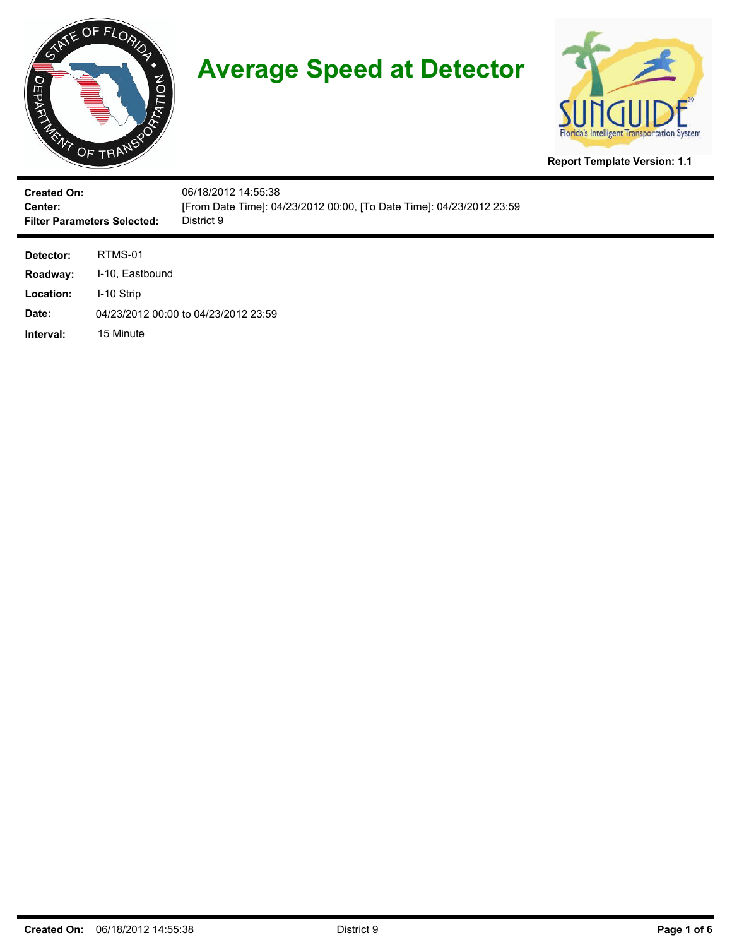



**Report Template Version: 1.1**

| <b>Created On:</b><br>Center:<br><b>Filter Parameters Selected:</b> |                                          | 06/18/2012 14:55:38<br>[From Date Time]: 04/23/2012 00:00, [To Date Time]: 04/23/2012 23:59<br>District 9 |
|---------------------------------------------------------------------|------------------------------------------|-----------------------------------------------------------------------------------------------------------|
| Detector:<br>Roadway:<br>Location:<br>Date:                         | RTMS-01<br>I-10, Eastbound<br>I-10 Strip | 04/23/2012 00:00 to 04/23/2012 23:59                                                                      |
| Interval:                                                           | 15 Minute                                |                                                                                                           |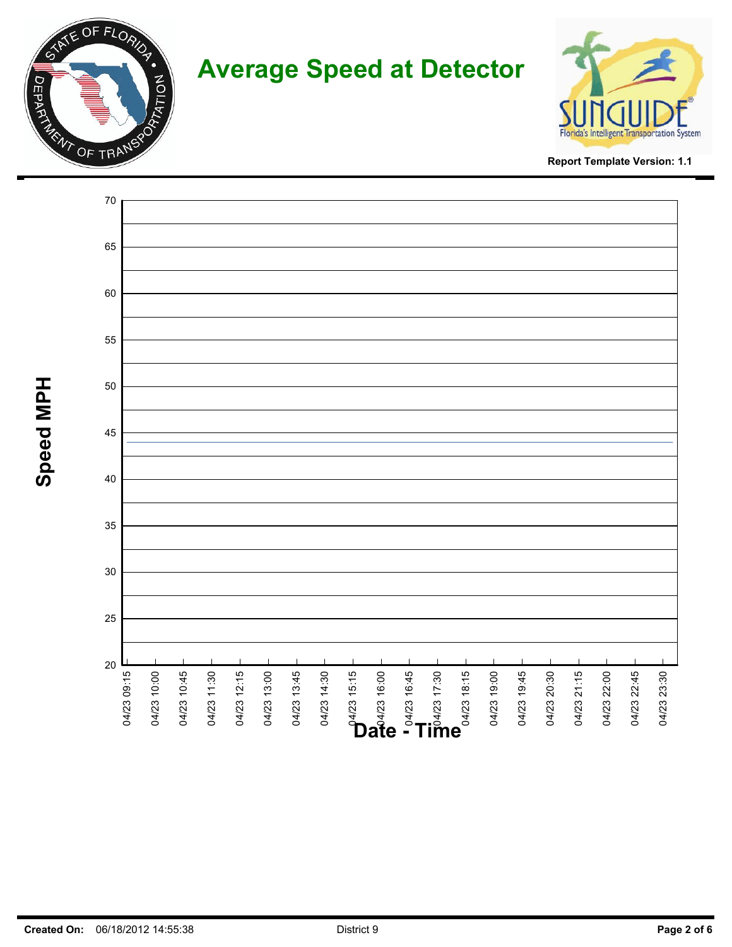



**Report Template Version: 1.1**

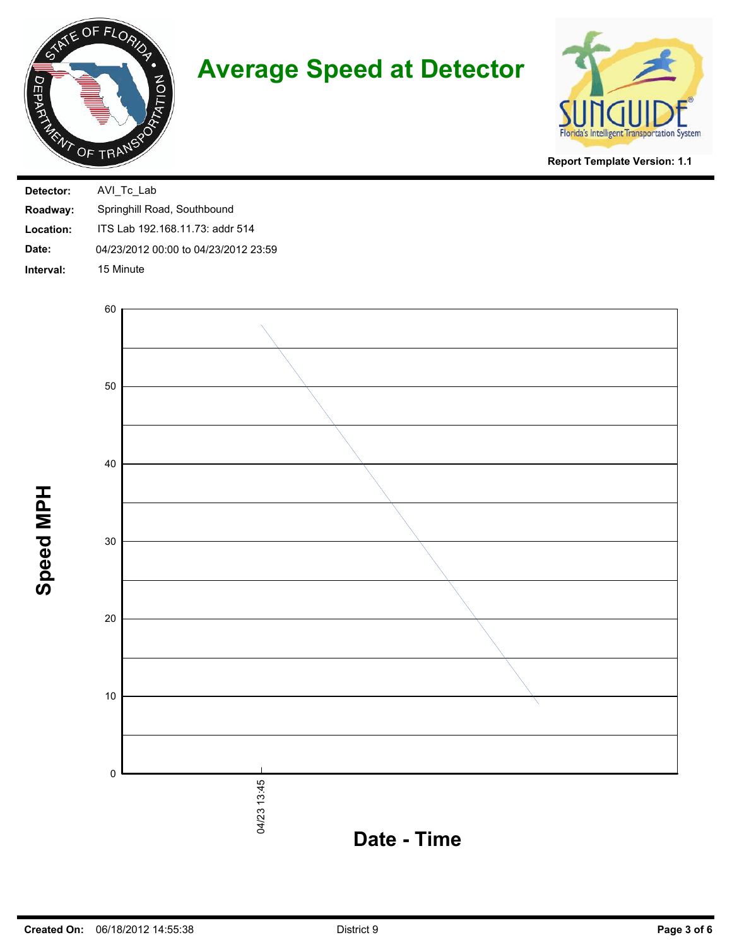



**Report Template Version: 1.1**

| Detector: | AVI Tc Lab                           |
|-----------|--------------------------------------|
| Roadway:  | Springhill Road, Southbound          |
| Location: | ITS Lab 192.168.11.73: addr 514      |
| Date:     | 04/23/2012 00:00 to 04/23/2012 23:59 |
| Interval: | 15 Minute                            |



**Speed MPH**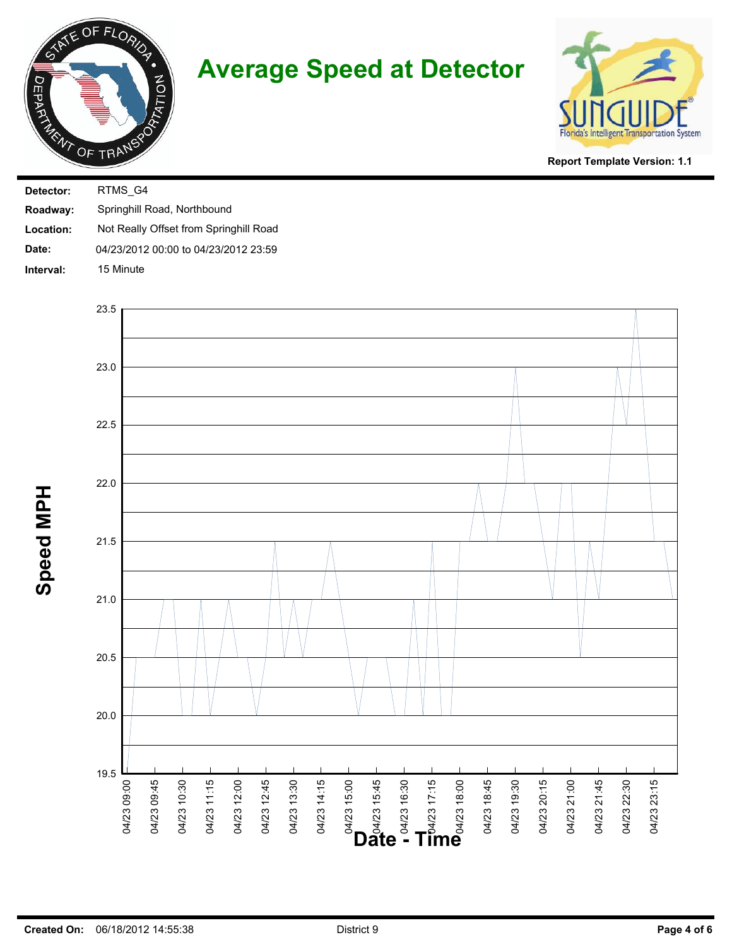



**Report Template Version: 1.1**

| Detector: | RTMS G4                                |
|-----------|----------------------------------------|
| Roadway:  | Springhill Road, Northbound            |
| Location: | Not Really Offset from Springhill Road |
| Date:     | 04/23/2012 00:00 to 04/23/2012 23:59   |
| Interval: | 15 Minute                              |



**Speed MPH**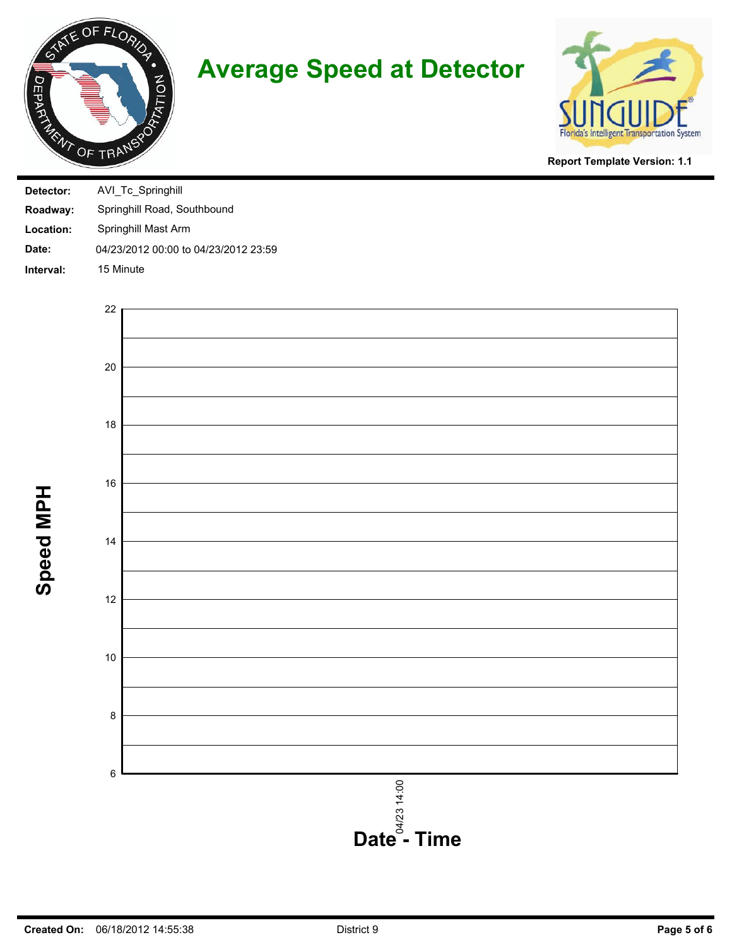



**Report Template Version: 1.1**

| Detector: | AVI Tc Springhill                    |
|-----------|--------------------------------------|
| Roadway:  | Springhill Road, Southbound          |
| Location: | Springhill Mast Arm                  |
| Date:     | 04/23/2012 00:00 to 04/23/2012 23:59 |
| Interval: | 15 Minute                            |





**Speed MPH**